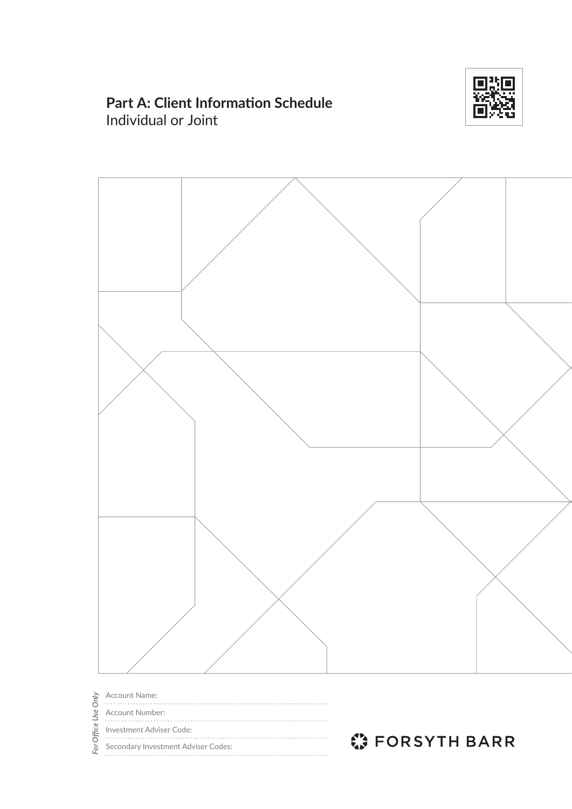

# **Part A: Client Information Schedule** Individual or Joint



Account Name: For Office Use Only For Office Use Only Account Number: Investment Adviser Code:  $\ddotsc$ Secondary Investment Adviser Codes:

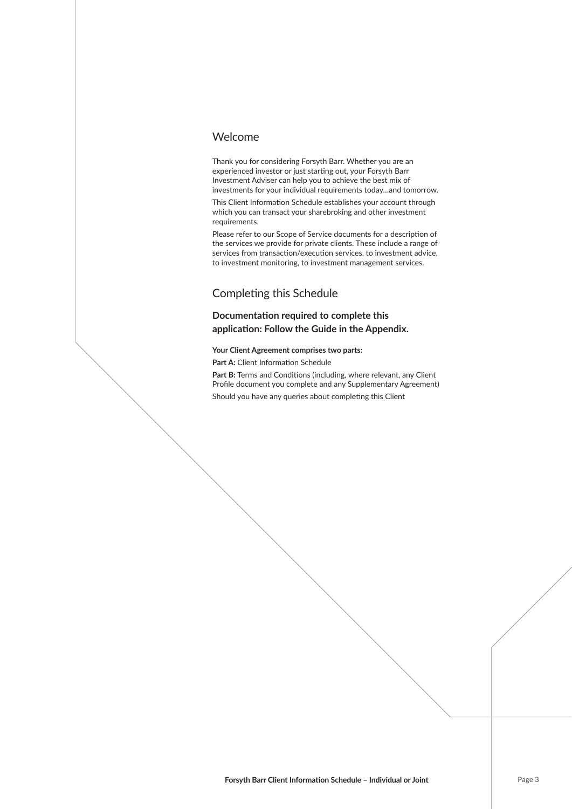### Welcome

Thank you for considering Forsyth Barr. Whether you are an experienced investor or just starting out, your Forsyth Barr Investment Adviser can help you to achieve the best mix of investments for your individual requirements today…and tomorrow.

This Client Information Schedule establishes your account through which you can transact your sharebroking and other investment requirements.

Please refer to our Scope of Service documents for a description of the services we provide for private clients. These include a range of services from transaction/execution services, to investment advice, to investment monitoring, to investment management services.

### Completing this Schedule

### **Documentation required to complete this** application: Follow the Guide in the Appendix.

#### **Your Client Agreement comprises two parts:**

Part A: Client Information Schedule

Part B: Terms and Conditions (including, where relevant, any Client Profile document you complete and any Supplementary Agreement)

Should you have any queries about completing this Client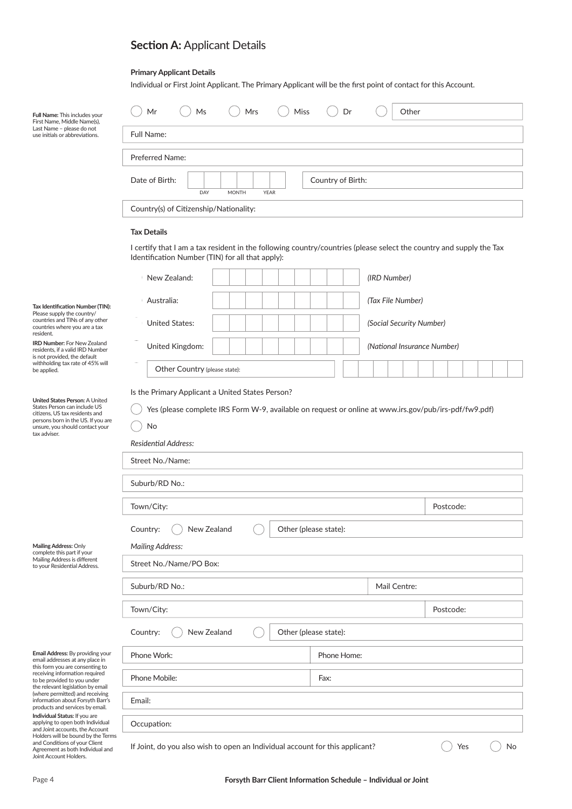# **Section A: Applicant Details**

### **Primary Applicant Details**

Individual or First Joint Applicant. The Primary Applicant will be the first point of contact for this Account.

| Full Name: This includes your<br>First Name, Middle Name(s),<br>Last Name - please do not                                             | Mr<br>Ms                                                                                                                                                                |  | Mrs |  | Miss |  |             | Dr                       |                             |           | Other |  |           |  |  |  |
|---------------------------------------------------------------------------------------------------------------------------------------|-------------------------------------------------------------------------------------------------------------------------------------------------------------------------|--|-----|--|------|--|-------------|--------------------------|-----------------------------|-----------|-------|--|-----------|--|--|--|
| use initials or abbreviations.                                                                                                        | Full Name:                                                                                                                                                              |  |     |  |      |  |             |                          |                             |           |       |  |           |  |  |  |
|                                                                                                                                       | <b>Preferred Name:</b>                                                                                                                                                  |  |     |  |      |  |             |                          |                             |           |       |  |           |  |  |  |
|                                                                                                                                       | Date of Birth:<br>Country of Birth:<br>DAY<br><b>MONTH</b><br><b>YEAR</b><br>Country(s) of Citizenship/Nationality:<br><b>Tax Details</b>                               |  |     |  |      |  |             |                          |                             |           |       |  |           |  |  |  |
|                                                                                                                                       |                                                                                                                                                                         |  |     |  |      |  |             |                          |                             |           |       |  |           |  |  |  |
|                                                                                                                                       |                                                                                                                                                                         |  |     |  |      |  |             |                          |                             |           |       |  |           |  |  |  |
|                                                                                                                                       |                                                                                                                                                                         |  |     |  |      |  |             |                          |                             |           |       |  |           |  |  |  |
|                                                                                                                                       | I certify that I am a tax resident in the following country/countries (please select the country and supply the Tax<br>Identification Number (TIN) for all that apply): |  |     |  |      |  |             |                          |                             |           |       |  |           |  |  |  |
|                                                                                                                                       | New Zealand:                                                                                                                                                            |  |     |  |      |  |             |                          | (IRD Number)                |           |       |  |           |  |  |  |
| Tax Identification Number (TIN):                                                                                                      | Australia:                                                                                                                                                              |  |     |  |      |  |             |                          | (Tax File Number)           |           |       |  |           |  |  |  |
| Please supply the country/<br>countries and TINs of any other<br>countries where you are a tax                                        | <b>United States:</b>                                                                                                                                                   |  |     |  |      |  |             | (Social Security Number) |                             |           |       |  |           |  |  |  |
| resident.<br><b>IRD Number: For New Zealand</b><br>residents, if a valid IRD Number                                                   | United Kingdom:                                                                                                                                                         |  |     |  |      |  |             |                          | (National Insurance Number) |           |       |  |           |  |  |  |
| is not provided, the default<br>withholding tax rate of 45% will<br>be applied.                                                       | Other Country (please state):                                                                                                                                           |  |     |  |      |  |             |                          |                             |           |       |  |           |  |  |  |
|                                                                                                                                       | Is the Primary Applicant a United States Person?                                                                                                                        |  |     |  |      |  |             |                          |                             |           |       |  |           |  |  |  |
| United States Person: A United<br>States Person can include US                                                                        | Yes (please complete IRS Form W-9, available on request or online at www.irs.gov/pub/irs-pdf/fw9.pdf)                                                                   |  |     |  |      |  |             |                          |                             |           |       |  |           |  |  |  |
| citizens, US tax residents and<br>persons born in the US. If you are<br>unsure, you should contact your                               | No                                                                                                                                                                      |  |     |  |      |  |             |                          |                             |           |       |  |           |  |  |  |
| tax adviser.                                                                                                                          | <b>Residential Address:</b>                                                                                                                                             |  |     |  |      |  |             |                          |                             |           |       |  |           |  |  |  |
|                                                                                                                                       | Street No./Name:                                                                                                                                                        |  |     |  |      |  |             |                          |                             |           |       |  |           |  |  |  |
|                                                                                                                                       | Suburb/RD No.:                                                                                                                                                          |  |     |  |      |  |             |                          |                             |           |       |  |           |  |  |  |
|                                                                                                                                       | Town/City:                                                                                                                                                              |  |     |  |      |  |             |                          |                             | Postcode: |       |  |           |  |  |  |
|                                                                                                                                       | New Zealand<br>Country:<br>Other (please state):                                                                                                                        |  |     |  |      |  |             |                          |                             |           |       |  |           |  |  |  |
| Mailing Address: Only<br>complete this part if your                                                                                   | <b>Mailing Address:</b>                                                                                                                                                 |  |     |  |      |  |             |                          |                             |           |       |  |           |  |  |  |
| Mailing Address is different<br>to your Residential Address.                                                                          | Street No./Name/PO Box:                                                                                                                                                 |  |     |  |      |  |             |                          |                             |           |       |  |           |  |  |  |
|                                                                                                                                       | Suburb/RD No.:<br>Mail Centre:                                                                                                                                          |  |     |  |      |  |             |                          |                             |           |       |  |           |  |  |  |
|                                                                                                                                       | Town/City:                                                                                                                                                              |  |     |  |      |  |             |                          |                             |           |       |  | Postcode: |  |  |  |
|                                                                                                                                       | New Zealand<br>Other (please state):<br>Country:                                                                                                                        |  |     |  |      |  |             |                          |                             |           |       |  |           |  |  |  |
| Email Address: By providing your<br>email addresses at any place in                                                                   | Phone Work:                                                                                                                                                             |  |     |  |      |  | Phone Home: |                          |                             |           |       |  |           |  |  |  |
| this form you are consenting to<br>receiving information required<br>to be provided to you under<br>the relevant legislation by email | Phone Mobile:                                                                                                                                                           |  |     |  |      |  | Fax:        |                          |                             |           |       |  |           |  |  |  |
| (where permitted) and receiving<br>information about Forsyth Barr's<br>products and services by email.                                | Email:                                                                                                                                                                  |  |     |  |      |  |             |                          |                             |           |       |  |           |  |  |  |
| Individual Status: If you are<br>applying to open both Individual<br>and Joint accounts, the Account                                  | Occupation:                                                                                                                                                             |  |     |  |      |  |             |                          |                             |           |       |  |           |  |  |  |
| Holders will be bound by the Terms<br>and Conditions of your Client<br>Agreement as both Individual and<br>Joint Account Holders.     | If Joint, do you also wish to open an Individual account for this applicant?<br>No<br>Yes                                                                               |  |     |  |      |  |             |                          |                             |           |       |  |           |  |  |  |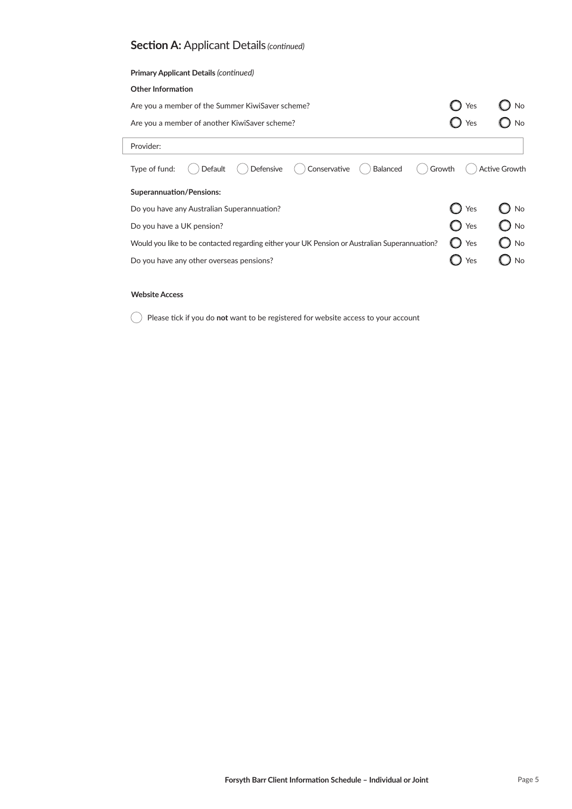| <b>Primary Applicant Details (continued)</b>                                                  |        |                      |
|-----------------------------------------------------------------------------------------------|--------|----------------------|
| <b>Other Information</b>                                                                      |        |                      |
| Are you a member of the Summer KiwiSaver scheme?                                              | Yes    | No                   |
| Are you a member of another KiwiSaver scheme?                                                 | Yes    |                      |
| Provider:                                                                                     |        |                      |
| Conservative<br><b>Defensive</b><br><b>Balanced</b><br>Type of fund:<br>Default               | Growth | <b>Active Growth</b> |
| <b>Superannuation/Pensions:</b>                                                               |        |                      |
| Do you have any Australian Superannuation?                                                    | Yes    | No                   |
| Do you have a UK pension?                                                                     | Yes    | No                   |
| Would you like to be contacted regarding either your UK Pension or Australian Superannuation? | Yes    | <b>No</b>            |
| Do you have any other overseas pensions?                                                      | Yes    | No                   |
|                                                                                               |        |                      |

### **Website Access**

**C** Please tick if you do not want to be registered for website access to your account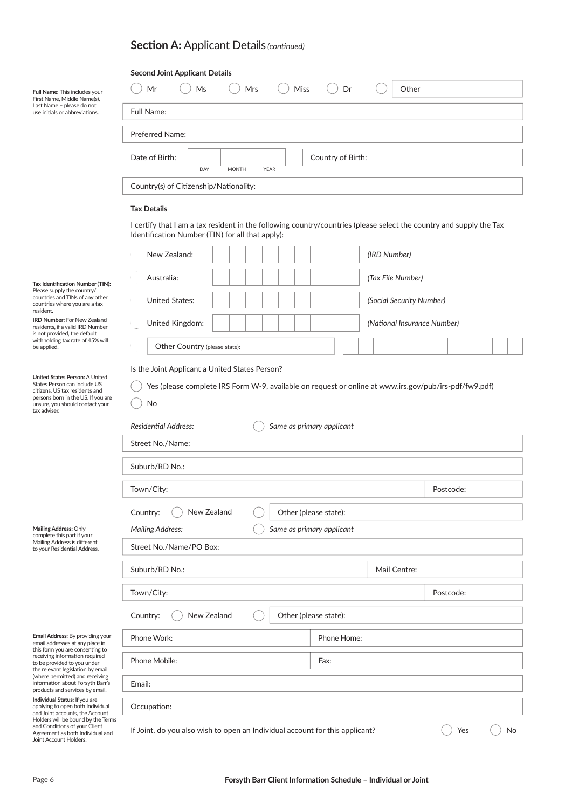|                                                                                                                                                                                           | <b>Second Joint Applicant Details</b>                                                                                                                                                                                     |  |     |      |  |             |                             |           |  |  |
|-------------------------------------------------------------------------------------------------------------------------------------------------------------------------------------------|---------------------------------------------------------------------------------------------------------------------------------------------------------------------------------------------------------------------------|--|-----|------|--|-------------|-----------------------------|-----------|--|--|
| Full Name: This includes your<br>First Name, Middle Name(s),                                                                                                                              | Mr<br>Ms                                                                                                                                                                                                                  |  | Mrs | Miss |  | Dr          | Other                       |           |  |  |
| Last Name - please do not<br>use initials or abbreviations.                                                                                                                               | <b>Full Name:</b>                                                                                                                                                                                                         |  |     |      |  |             |                             |           |  |  |
|                                                                                                                                                                                           | Preferred Name:                                                                                                                                                                                                           |  |     |      |  |             |                             |           |  |  |
| Date of Birth:<br>Country of Birth:<br>DAY<br><b>MONTH</b><br><b>YEAR</b>                                                                                                                 |                                                                                                                                                                                                                           |  |     |      |  |             |                             |           |  |  |
|                                                                                                                                                                                           | Country(s) of Citizenship/Nationality:                                                                                                                                                                                    |  |     |      |  |             |                             |           |  |  |
|                                                                                                                                                                                           | <b>Tax Details</b>                                                                                                                                                                                                        |  |     |      |  |             |                             |           |  |  |
|                                                                                                                                                                                           | I certify that I am a tax resident in the following country/countries (please select the country and supply the Tax<br>Identification Number (TIN) for all that apply):                                                   |  |     |      |  |             |                             |           |  |  |
|                                                                                                                                                                                           | New Zealand:                                                                                                                                                                                                              |  |     |      |  |             | (IRD Number)                |           |  |  |
| Tax Identification Number (TIN):                                                                                                                                                          | Australia:                                                                                                                                                                                                                |  |     |      |  |             | (Tax File Number)           |           |  |  |
| Please supply the country/<br>countries and TINs of any other<br>countries where you are a tax                                                                                            | <b>United States:</b>                                                                                                                                                                                                     |  |     |      |  |             | (Social Security Number)    |           |  |  |
| resident.<br><b>IRD Number: For New Zealand</b><br>residents, if a valid IRD Number                                                                                                       | United Kingdom:                                                                                                                                                                                                           |  |     |      |  |             | (National Insurance Number) |           |  |  |
| is not provided, the default<br>withholding tax rate of 45% will<br>be applied.                                                                                                           | Other Country (please state):                                                                                                                                                                                             |  |     |      |  |             |                             |           |  |  |
| United States Person: A United<br>States Person can include US<br>citizens, US tax residents and<br>persons born in the US. If you are<br>unsure, you should contact your<br>tax adviser. | Is the Joint Applicant a United States Person?<br>Yes (please complete IRS Form W-9, available on request or online at www.irs.gov/pub/irs-pdf/fw9.pdf)<br>No<br><b>Residential Address:</b><br>Same as primary applicant |  |     |      |  |             |                             |           |  |  |
|                                                                                                                                                                                           | Street No./Name:                                                                                                                                                                                                          |  |     |      |  |             |                             |           |  |  |
|                                                                                                                                                                                           | Suburb/RD No.:                                                                                                                                                                                                            |  |     |      |  |             |                             |           |  |  |
|                                                                                                                                                                                           | Town/City:<br>Postcode:                                                                                                                                                                                                   |  |     |      |  |             |                             |           |  |  |
|                                                                                                                                                                                           | New Zealand<br>Country:<br>Other (please state):                                                                                                                                                                          |  |     |      |  |             |                             |           |  |  |
| Mailing Address: Only                                                                                                                                                                     | <b>Mailing Address:</b><br>Same as primary applicant                                                                                                                                                                      |  |     |      |  |             |                             |           |  |  |
| complete this part if your<br>Mailing Address is different<br>to your Residential Address.                                                                                                | Street No./Name/PO Box:                                                                                                                                                                                                   |  |     |      |  |             |                             |           |  |  |
|                                                                                                                                                                                           | Suburb/RD No.:<br>Mail Centre:                                                                                                                                                                                            |  |     |      |  |             |                             |           |  |  |
|                                                                                                                                                                                           | Town/City:                                                                                                                                                                                                                |  |     |      |  |             |                             | Postcode: |  |  |
|                                                                                                                                                                                           | New Zealand<br>Other (please state):<br>Country:                                                                                                                                                                          |  |     |      |  |             |                             |           |  |  |
| Email Address: By providing your<br>email addresses at any place in                                                                                                                       | Phone Work:                                                                                                                                                                                                               |  |     |      |  | Phone Home: |                             |           |  |  |
| this form you are consenting to<br>receiving information required<br>to be provided to you under                                                                                          | Phone Mobile:                                                                                                                                                                                                             |  |     |      |  | Fax:        |                             |           |  |  |
| the relevant legislation by email<br>(where permitted) and receiving<br>information about Forsyth Barr's<br>products and services by email.                                               | Email:                                                                                                                                                                                                                    |  |     |      |  |             |                             |           |  |  |
| Individual Status: If you are<br>applying to open both Individual<br>and Joint accounts, the Account                                                                                      | Occupation:                                                                                                                                                                                                               |  |     |      |  |             |                             |           |  |  |
| Holders will be bound by the Terms<br>and Conditions of your Client<br>Agreement as both Individual and<br>Joint Account Holders.                                                         | If Joint, do you also wish to open an Individual account for this applicant?<br>Yes<br>No                                                                                                                                 |  |     |      |  |             |                             |           |  |  |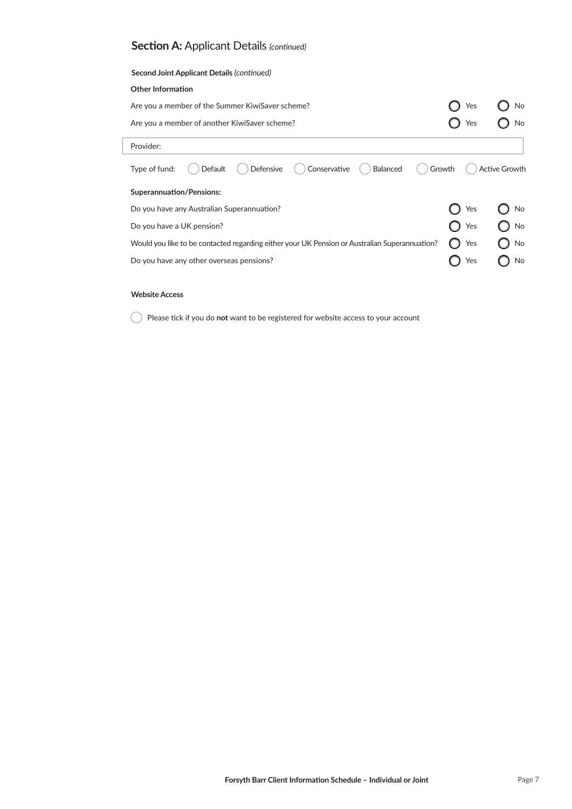| Yes | No                   |
|-----|----------------------|
| Yes |                      |
|     |                      |
|     | <b>Active Growth</b> |
|     |                      |
| Yes | No                   |
| Yes | No                   |
| Yes | No                   |
| Yes | No                   |
|     | Growth               |

### **Website Access**

**C** Please tick if you do not want to be registered for website access to your account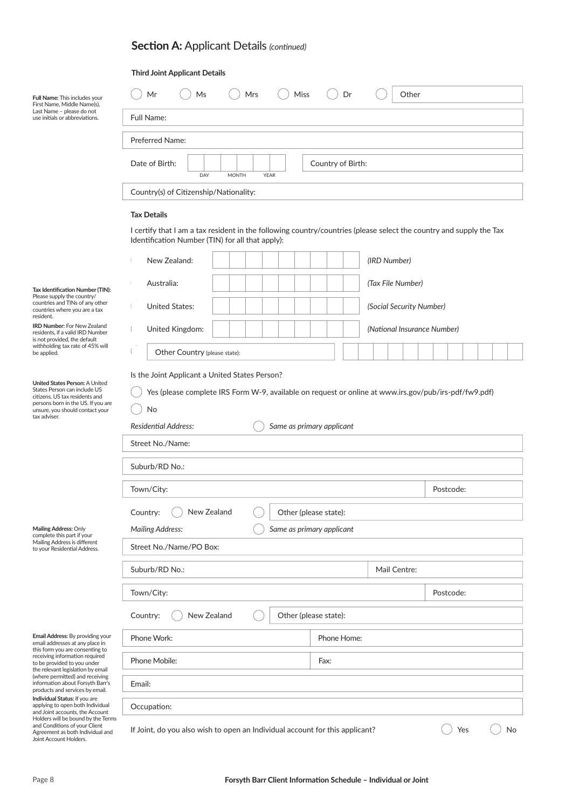### **Third Joint Applicant Details**

| Full Name: This includes your<br>First Name, Middle Name(s),                                                                          | Mr<br>Mrs<br>Miss<br>Ms<br>Dr                                                                                                                                           | Other                       |  |  |  |  |  |  |  |  |
|---------------------------------------------------------------------------------------------------------------------------------------|-------------------------------------------------------------------------------------------------------------------------------------------------------------------------|-----------------------------|--|--|--|--|--|--|--|--|
| Last Name - please do not<br>use initials or abbreviations.                                                                           | Full Name:                                                                                                                                                              |                             |  |  |  |  |  |  |  |  |
|                                                                                                                                       | Preferred Name:                                                                                                                                                         |                             |  |  |  |  |  |  |  |  |
|                                                                                                                                       | Date of Birth:<br>Country of Birth:                                                                                                                                     |                             |  |  |  |  |  |  |  |  |
|                                                                                                                                       | DAY<br><b>MONTH</b><br><b>YEAR</b>                                                                                                                                      |                             |  |  |  |  |  |  |  |  |
|                                                                                                                                       | Country(s) of Citizenship/Nationality:                                                                                                                                  |                             |  |  |  |  |  |  |  |  |
|                                                                                                                                       | <b>Tax Details</b>                                                                                                                                                      |                             |  |  |  |  |  |  |  |  |
|                                                                                                                                       | I certify that I am a tax resident in the following country/countries (please select the country and supply the Tax<br>Identification Number (TIN) for all that apply): |                             |  |  |  |  |  |  |  |  |
|                                                                                                                                       | New Zealand:<br>(IRD Number)                                                                                                                                            |                             |  |  |  |  |  |  |  |  |
| Tax Identification Number (TIN):                                                                                                      | (Tax File Number)<br>Australia:                                                                                                                                         |                             |  |  |  |  |  |  |  |  |
| Please supply the country/<br>countries and TINs of any other<br>countries where you are a tax                                        | <b>United States:</b><br>(Social Security Number)                                                                                                                       |                             |  |  |  |  |  |  |  |  |
| resident.<br><b>IRD Number: For New Zealand</b><br>residents, if a valid IRD Number                                                   | United Kingdom:                                                                                                                                                         | (National Insurance Number) |  |  |  |  |  |  |  |  |
| is not provided, the default<br>withholding tax rate of 45% will<br>be applied.                                                       | Other Country (please state):                                                                                                                                           |                             |  |  |  |  |  |  |  |  |
|                                                                                                                                       | Is the Joint Applicant a United States Person?                                                                                                                          |                             |  |  |  |  |  |  |  |  |
| United States Person: A United<br>States Person can include US<br>citizens, US tax residents and                                      | Yes (please complete IRS Form W-9, available on request or online at www.irs.gov/pub/irs-pdf/fw9.pdf)                                                                   |                             |  |  |  |  |  |  |  |  |
| persons born in the US. If you are<br>unsure, you should contact your<br>tax adviser.                                                 | No                                                                                                                                                                      |                             |  |  |  |  |  |  |  |  |
|                                                                                                                                       | <b>Residential Address:</b><br>Same as primary applicant                                                                                                                |                             |  |  |  |  |  |  |  |  |
|                                                                                                                                       | Street No./Name:                                                                                                                                                        |                             |  |  |  |  |  |  |  |  |
|                                                                                                                                       | Suburb/RD No.:                                                                                                                                                          |                             |  |  |  |  |  |  |  |  |
|                                                                                                                                       | Town/City:                                                                                                                                                              | Postcode:                   |  |  |  |  |  |  |  |  |
|                                                                                                                                       | Other (please state):<br>New Zealand<br>Country:                                                                                                                        |                             |  |  |  |  |  |  |  |  |
| Mailing Address: Only<br>complete this part if your                                                                                   | <b>Mailing Address:</b><br>Same as primary applicant                                                                                                                    |                             |  |  |  |  |  |  |  |  |
| Mailing Address is different<br>to your Residential Address.                                                                          | Street No./Name/PO Box:                                                                                                                                                 |                             |  |  |  |  |  |  |  |  |
|                                                                                                                                       | Suburb/RD No.:<br>Mail Centre:                                                                                                                                          |                             |  |  |  |  |  |  |  |  |
|                                                                                                                                       | Town/City:<br>Postcode:                                                                                                                                                 |                             |  |  |  |  |  |  |  |  |
|                                                                                                                                       | New Zealand<br>Other (please state):<br>Country:                                                                                                                        |                             |  |  |  |  |  |  |  |  |
| Email Address: By providing your<br>email addresses at any place in                                                                   | Phone Work:<br>Phone Home:                                                                                                                                              |                             |  |  |  |  |  |  |  |  |
| this form you are consenting to<br>receiving information required<br>to be provided to you under<br>the relevant legislation by email | Phone Mobile:<br>Fax:                                                                                                                                                   |                             |  |  |  |  |  |  |  |  |
| (where permitted) and receiving<br>information about Forsyth Barr's<br>products and services by email.                                | Email:                                                                                                                                                                  |                             |  |  |  |  |  |  |  |  |
| Individual Status: If you are<br>applying to open both Individual<br>and Joint accounts, the Account                                  | Occupation:                                                                                                                                                             |                             |  |  |  |  |  |  |  |  |
| Holders will be bound by the Terms<br>and Conditions of your Client<br>Agreement as both Individual and<br>Joint Account Holders.     | If Joint, do you also wish to open an Individual account for this applicant?<br>Yes<br>No                                                                               |                             |  |  |  |  |  |  |  |  |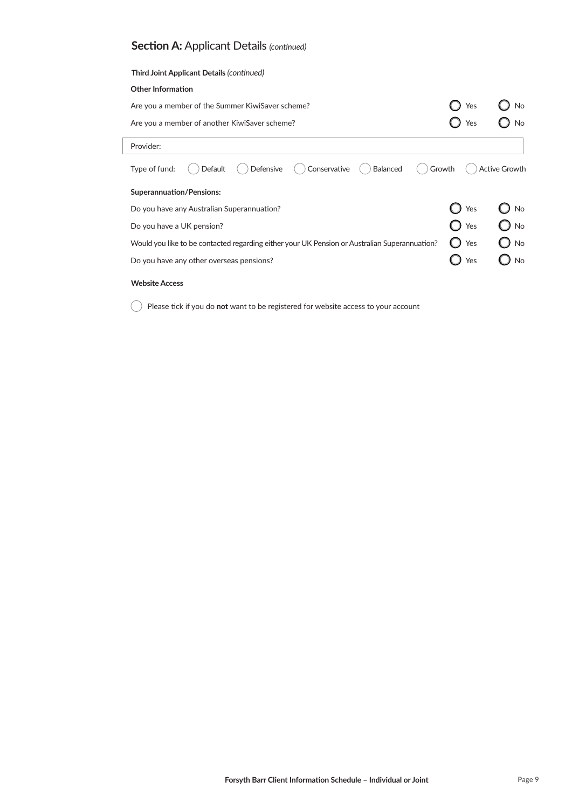| Third Joint Applicant Details (continued)                                                     |     |                      |
|-----------------------------------------------------------------------------------------------|-----|----------------------|
| <b>Other Information</b>                                                                      |     |                      |
| Are you a member of the Summer KiwiSaver scheme?                                              | Yes | No                   |
| Are you a member of another KiwiSaver scheme?                                                 | Yes | No                   |
| Provider:                                                                                     |     |                      |
| Conservative<br>Balanced<br>Defensive<br>Type of fund:<br>Default<br>Growth                   |     | <b>Active Growth</b> |
| <b>Superannuation/Pensions:</b>                                                               |     |                      |
| Do you have any Australian Superannuation?                                                    | Yes | No                   |
| Do you have a UK pension?                                                                     | Yes | No                   |
| Would you like to be contacted regarding either your UK Pension or Australian Superannuation? | Yes | <b>No</b>            |
| Do you have any other overseas pensions?                                                      | Yes | No                   |
| <b>Website Access</b>                                                                         |     |                      |

**C** Please tick if you do not want to be registered for website access to your account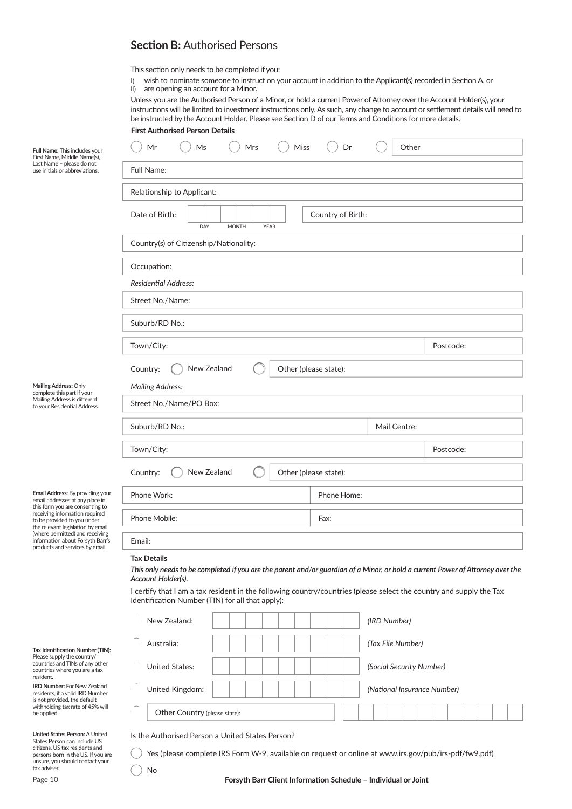# **Section B: Authorised Persons**

- This section only needs to be completed if you:
- i) wish to nominate someone to instruct on your account in addition to the Applicant(s) recorded in Section A, or ii) are opening an account for a Minor.

Unless you are the Authorised Person of a Minor, or hold a current Power of Attorney over the Account Holder(s), your instructions will be limited to investment instructions only. As such, any change to account or settlement details will need to be instructed by the Account Holder. Please see Section D of our Terms and Conditions for more details.

|                                                                                                                                                                                           | <b>First Authorised Person Details</b>                                                                                                                                     |           |  |  |  |  |  |  |  |
|-------------------------------------------------------------------------------------------------------------------------------------------------------------------------------------------|----------------------------------------------------------------------------------------------------------------------------------------------------------------------------|-----------|--|--|--|--|--|--|--|
| Full Name: This includes your<br>First Name, Middle Name(s),                                                                                                                              | Mr<br>Ms<br>Mrs<br>Miss<br>Other<br>Dr                                                                                                                                     |           |  |  |  |  |  |  |  |
| Last Name - please do not<br>use initials or abbreviations.                                                                                                                               | Full Name:                                                                                                                                                                 |           |  |  |  |  |  |  |  |
|                                                                                                                                                                                           | Relationship to Applicant:                                                                                                                                                 |           |  |  |  |  |  |  |  |
|                                                                                                                                                                                           | Date of Birth:<br>Country of Birth:<br>DAY<br><b>MONTH</b><br><b>YEAR</b>                                                                                                  |           |  |  |  |  |  |  |  |
|                                                                                                                                                                                           | Country(s) of Citizenship/Nationality:                                                                                                                                     |           |  |  |  |  |  |  |  |
|                                                                                                                                                                                           | Occupation:                                                                                                                                                                |           |  |  |  |  |  |  |  |
|                                                                                                                                                                                           | Residential Address:                                                                                                                                                       |           |  |  |  |  |  |  |  |
|                                                                                                                                                                                           | Street No./Name:                                                                                                                                                           |           |  |  |  |  |  |  |  |
|                                                                                                                                                                                           | Suburb/RD No.:                                                                                                                                                             |           |  |  |  |  |  |  |  |
|                                                                                                                                                                                           | Town/City:                                                                                                                                                                 | Postcode: |  |  |  |  |  |  |  |
|                                                                                                                                                                                           | New Zealand<br>Other (please state):<br>Country:                                                                                                                           |           |  |  |  |  |  |  |  |
| Mailing Address: Only<br>complete this part if your                                                                                                                                       | <b>Mailing Address:</b>                                                                                                                                                    |           |  |  |  |  |  |  |  |
| Mailing Address is different<br>to your Residential Address.                                                                                                                              | Street No./Name/PO Box:                                                                                                                                                    |           |  |  |  |  |  |  |  |
|                                                                                                                                                                                           | Suburb/RD No.:<br>Mail Centre:                                                                                                                                             |           |  |  |  |  |  |  |  |
|                                                                                                                                                                                           | Town/City:                                                                                                                                                                 | Postcode: |  |  |  |  |  |  |  |
|                                                                                                                                                                                           | New Zealand<br>Other (please state):<br>Country:                                                                                                                           |           |  |  |  |  |  |  |  |
| Email Address: By providing your<br>email addresses at any place in<br>this form you are consenting to                                                                                    | Phone Work:<br>Phone Home:                                                                                                                                                 |           |  |  |  |  |  |  |  |
| receiving information required<br>to be provided to you under<br>the relevant legislation by email                                                                                        | Phone Mobile:<br>Fax:                                                                                                                                                      |           |  |  |  |  |  |  |  |
| (where permitted) and receiving<br>information about Forsyth Barr's<br>products and services by email.                                                                                    | Email:                                                                                                                                                                     |           |  |  |  |  |  |  |  |
|                                                                                                                                                                                           | <b>Tax Details</b><br>This only needs to be completed if you are the parent and/or guardian of a Minor, or hold a current Power of Attorney over the<br>Account Holder(s). |           |  |  |  |  |  |  |  |
|                                                                                                                                                                                           | I certify that I am a tax resident in the following country/countries (please select the country and supply the Tax<br>Identification Number (TIN) for all that apply):    |           |  |  |  |  |  |  |  |
|                                                                                                                                                                                           | New Zealand:<br>(IRD Number)                                                                                                                                               |           |  |  |  |  |  |  |  |
| Tax Identification Number (TIN):                                                                                                                                                          | Australia:<br>(Tax File Number)                                                                                                                                            |           |  |  |  |  |  |  |  |
| Please supply the country/<br>countries and TINs of any other<br>countries where you are a tax<br>resident.                                                                               | <b>United States:</b><br>(Social Security Number)                                                                                                                          |           |  |  |  |  |  |  |  |
| <b>IRD Number: For New Zealand</b><br>residents, if a valid IRD Number<br>is not provided, the default                                                                                    | United Kingdom:<br>(National Insurance Number)                                                                                                                             |           |  |  |  |  |  |  |  |
| withholding tax rate of 45% will<br>be applied.                                                                                                                                           | Other Country (please state):                                                                                                                                              |           |  |  |  |  |  |  |  |
| United States Person: A United<br>States Person can include US<br>citizens, US tax residents and<br>persons born in the US. If you are<br>unsure, you should contact your<br>tax adviser. | Is the Authorised Person a United States Person?<br>Yes (please complete IRS Form W-9, available on request or online at www.irs.gov/pub/irs-pdf/fw9.pdf)<br>No            |           |  |  |  |  |  |  |  |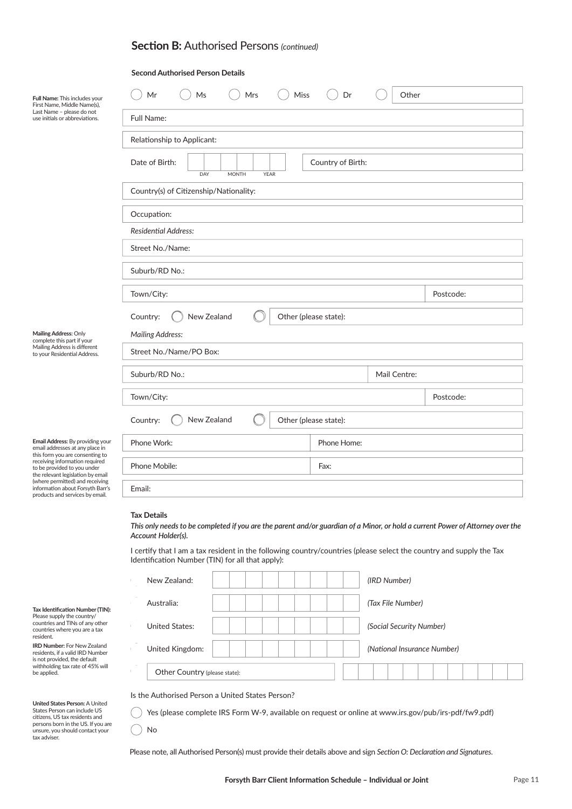### **Section B:** Authorised Persons *(continued)*

#### **Second Authorised Person Details**

| Full Name: This includes your<br>First Name, Middle Name(s),                                                                                                                                                 | Mr<br>Ms<br>Mrs<br>Miss                                                                                             | Dr           | Other     |  |  |  |  |  |
|--------------------------------------------------------------------------------------------------------------------------------------------------------------------------------------------------------------|---------------------------------------------------------------------------------------------------------------------|--------------|-----------|--|--|--|--|--|
| Last Name - please do not<br>use initials or abbreviations.                                                                                                                                                  | Full Name:                                                                                                          |              |           |  |  |  |  |  |
|                                                                                                                                                                                                              | Relationship to Applicant:                                                                                          |              |           |  |  |  |  |  |
|                                                                                                                                                                                                              | Date of Birth:<br>Country of Birth:<br>DAY<br><b>MONTH</b><br><b>YEAR</b><br>Country(s) of Citizenship/Nationality: |              |           |  |  |  |  |  |
|                                                                                                                                                                                                              |                                                                                                                     |              |           |  |  |  |  |  |
| Occupation:                                                                                                                                                                                                  |                                                                                                                     |              |           |  |  |  |  |  |
|                                                                                                                                                                                                              | <b>Residential Address:</b>                                                                                         |              |           |  |  |  |  |  |
|                                                                                                                                                                                                              | Street No./Name:                                                                                                    |              |           |  |  |  |  |  |
|                                                                                                                                                                                                              | Suburb/RD No.:                                                                                                      |              |           |  |  |  |  |  |
|                                                                                                                                                                                                              | Town/City:                                                                                                          |              | Postcode: |  |  |  |  |  |
|                                                                                                                                                                                                              | New Zealand<br>Other (please state):<br>Country:                                                                    |              |           |  |  |  |  |  |
| Mailing Address: Only<br>complete this part if your                                                                                                                                                          | <b>Mailing Address:</b>                                                                                             |              |           |  |  |  |  |  |
| Mailing Address is different<br>to your Residential Address.                                                                                                                                                 | Street No./Name/PO Box:                                                                                             |              |           |  |  |  |  |  |
|                                                                                                                                                                                                              | Suburb/RD No.:                                                                                                      | Mail Centre: |           |  |  |  |  |  |
|                                                                                                                                                                                                              | Town/City:                                                                                                          |              | Postcode: |  |  |  |  |  |
|                                                                                                                                                                                                              | New Zealand<br>Country:<br>Other (please state):                                                                    |              |           |  |  |  |  |  |
| Email Address: By providing your<br>email addresses at any place in<br>this form you are consenting to<br>receiving information required<br>to be provided to you under<br>the relevant legislation by email | Phone Work:                                                                                                         | Phone Home:  |           |  |  |  |  |  |
|                                                                                                                                                                                                              | Phone Mobile:                                                                                                       | Fax:         |           |  |  |  |  |  |
| (where permitted) and receiving<br>information about Forsyth Barr's<br>products and services by email.                                                                                                       | Email:                                                                                                              |              |           |  |  |  |  |  |
|                                                                                                                                                                                                              | . .<br>$\sim$                                                                                                       |              |           |  |  |  |  |  |

#### **Tax Details**

**Tax Identification Number (TIN):**<br>Please supply the country/<br>countries and TINs of any other countries where you are a tax

**IRD Number:** For New Zealand residents, if a valid IRD Number is not provided, the default withholding tax rate of 45% will

**United States Person:** A United States Person can include US citizens, US tax residents and persons born in the US. If you are unsure, you should contact your

resident.

be applied.

tax adviser.

**Tax Details** *Account Holder(s).This only needs to be completed if you are the parent and/or guardian of a Minor, or hold a current Power of Attorney over the* 

I certify that I am a tax resident in the following country/countries (please select the country and supply the Tax Identification Number (TIN) for all that apply):

| New Zealand:                  |  |  | (IRD Number)                |
|-------------------------------|--|--|-----------------------------|
| Australia:                    |  |  | (Tax File Number)           |
| <b>United States:</b>         |  |  | (Social Security Number)    |
| United Kingdom:               |  |  | (National Insurance Number) |
| Other Country (please state): |  |  |                             |

Is the Authorised Person a United States Person?

Yes (please complete IRS Form W-9, available on request or online at www.irs.gov/pub/irs-pdf/fw9.pdf)

C No

Please note, all Authorised Person(s) must provide their details above and sign *Section O: Declaration and Signatures*.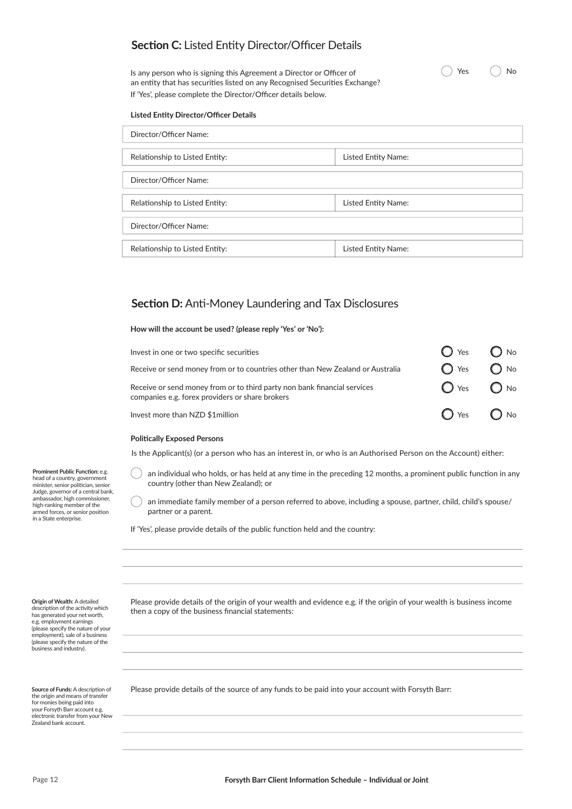## **Section C:** Listed Entity Director/Officer Details

Is any person who is signing this Agreement a Director or Officer of an entity that has securities listed on any Recognised Securities Exchange? If 'Yes', please complete the Director/Officer details below.

#### **Listed Entity Director/Officer Details**

| Director/Officer Name:         |                     |  |  |  |  |
|--------------------------------|---------------------|--|--|--|--|
|                                |                     |  |  |  |  |
| Relationship to Listed Entity: | Listed Entity Name: |  |  |  |  |
|                                |                     |  |  |  |  |
| Director/Officer Name:         |                     |  |  |  |  |
|                                |                     |  |  |  |  |
| Relationship to Listed Entity: | Listed Entity Name: |  |  |  |  |
|                                |                     |  |  |  |  |
| Director/Officer Name:         |                     |  |  |  |  |
|                                |                     |  |  |  |  |
| Relationship to Listed Entity: | Listed Entity Name: |  |  |  |  |

 $\bigcap$  Yes  $\bigcap$  No

### **Section D:** Anti-Money Laundering and Tax Disclosures

**How will the account be used? (please reply 'Yes' or 'No'):**

| Invest in one or two specific securities                                                                                    | $\bigcap$ Yes $\bigcap$ No   |  |
|-----------------------------------------------------------------------------------------------------------------------------|------------------------------|--|
| Receive or send money from or to countries other than New Zealand or Australia                                              | $\bigcap$ Yes $\bigcap$ No   |  |
| Receive or send money from or to third party non bank financial services<br>companies e.g. forex providers or share brokers | $\bigcirc$ Yes $\bigcirc$ No |  |
| Invest more than NZD \$1million                                                                                             | $\bigcirc$ Yes $\bigcirc$ No |  |

#### **Politically Exposed Persons**

Is the Applicant(s) (or a person who has an interest in, or who is an Authorised Person on the Account) either:

**Prominent Public Function: e.g.** head of a country, government minister, senior politician, senior Judge, governor of a central bank, ambassador, high commissioner, high-ranking member of the armed forces, or senior position in a State enterprise.

an individual who holds, or has held at any time in the preceding 12 months, a prominent public function in any country (other than New Zealand); or

an immediate family member of a person referred to above, including a spouse, partner, child, child's spouse/ partner or a parent.

If 'Yes', please provide details of the public function held and the country:

**Origin of Wealth:** A detailed description of the activity which has generated your net worth, e.g. employment earnings (please specify the nature of your employment), sale of a business (please specify the nature of the business and industry).

the origin and means of transfer for monies being paid into your Forsyth Barr account e.g. electronic transfer from your New Zealand bank account.

Please provide details of the origin of your wealth and evidence e.g. if the origin of your wealth is business income then a copy of the business financial statements:

Source of Funds: A description of Please provide details of the source of any funds to be paid into your account with Forsyth Barr: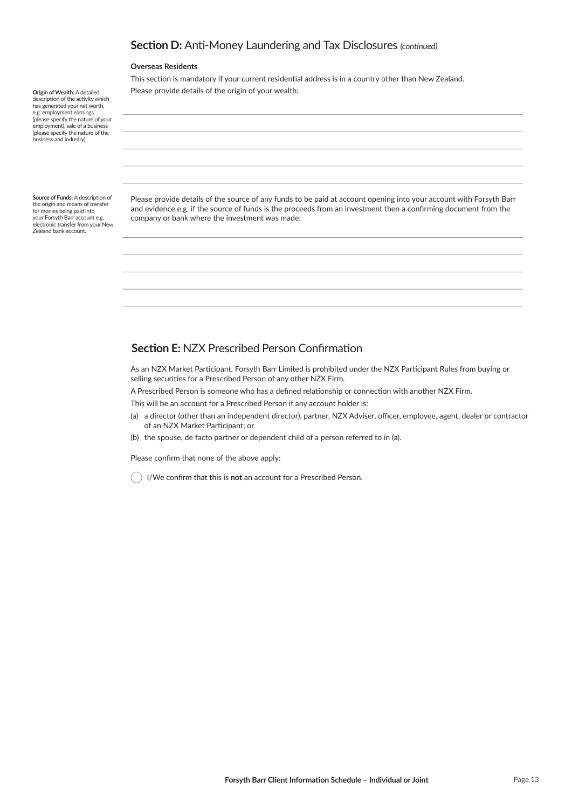## **Section D:** Anti-Money Laundering and Tax Disclosures *(continued)*

#### **Overseas Residents**

This section is mandatory if your current residential address is in a country other than New Zealand. Please provide details of the origin of your wealth:

**Origin of Wealth:** A detailed description of the activity which has generated your net worth, e.g. employment earnings (please specify the nature of your employment), sale of a business (please specify the nature of the business and industry).

**Source of Funds: A description of** the origin and means of transfer for monies being paid into your Forsyth Barr account e.g. electronic transfer from your New Zealand bank account.

Please provide details of the source of any funds to be paid at account opening into your account with Forsyth Barr and evidence e.g. if the source of funds is the proceeds from an investment then a confirming document from the company or bank where the investment was made:

### **Section E:** NZX Prescribed Person Confirmation

As an NZX Market Participant, Forsyth Barr Limited is prohibited under the NZX Participant Rules from buying or selling securities for a Prescribed Person of any other NZX Firm.

A Prescribed Person is someone who has a defined relationship or connection with another NZX Firm.

This will be an account for a Prescribed Person if any account holder is:

- (a) a director (other than an independent director), partner, NZX Adviser, officer, employee, agent, dealer or contractor of an NZX Market Participant; or
- (b) the spouse, de facto partner or dependent child of a person referred to in (a).

Please confirm that none of the above apply:

I/We confirm that this is not an account for a Prescribed Person.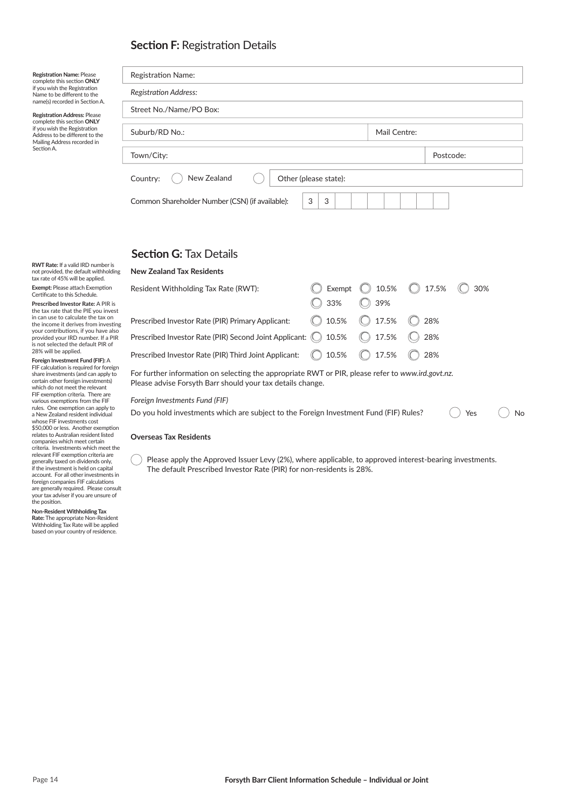# **Section F: Registration Details**

| <b>Registration Name: Please</b><br>complete this section ONLY<br>if you wish the Registration<br>Name to be different to the<br>name(s) recorded in Section A.<br><b>Registration Address: Please</b><br>complete this section ONLY<br>if you wish the Registration<br>Address to be different to the<br>Mailing Address recorded in<br>Section A. | <b>Registration Name:</b>                                 |              |           |  |  |  |  |  |
|-----------------------------------------------------------------------------------------------------------------------------------------------------------------------------------------------------------------------------------------------------------------------------------------------------------------------------------------------------|-----------------------------------------------------------|--------------|-----------|--|--|--|--|--|
|                                                                                                                                                                                                                                                                                                                                                     | <b>Registration Address:</b>                              |              |           |  |  |  |  |  |
|                                                                                                                                                                                                                                                                                                                                                     | Street No./Name/PO Box:                                   |              |           |  |  |  |  |  |
|                                                                                                                                                                                                                                                                                                                                                     | Suburb/RD No.:                                            | Mail Centre: |           |  |  |  |  |  |
|                                                                                                                                                                                                                                                                                                                                                     | Town/City:                                                |              | Postcode: |  |  |  |  |  |
|                                                                                                                                                                                                                                                                                                                                                     | New Zealand<br>Other (please state):<br>Country:          |              |           |  |  |  |  |  |
|                                                                                                                                                                                                                                                                                                                                                     | 3<br>3<br>Common Shareholder Number (CSN) (if available): |              |           |  |  |  |  |  |
|                                                                                                                                                                                                                                                                                                                                                     |                                                           |              |           |  |  |  |  |  |
|                                                                                                                                                                                                                                                                                                                                                     | <b>Section G:</b> Tax Details                             |              |           |  |  |  |  |  |

**Section G: Tax Details** 

| ing      | <b>New Zealand Tax Residents</b>                                                                                                                                |              |        |               |       |       |     |    |  |
|----------|-----------------------------------------------------------------------------------------------------------------------------------------------------------------|--------------|--------|---------------|-------|-------|-----|----|--|
|          | Resident Withholding Tax Rate (RWT):                                                                                                                            |              | Exempt |               | 10.5% | 17.5% | 30% |    |  |
| st       |                                                                                                                                                                 |              | 33%    |               | 39%   |       |     |    |  |
| ing      | Prescribed Investor Rate (PIR) Primary Applicant:                                                                                                               |              | 10.5%  |               | 17.5% | 28%   |     |    |  |
| SO<br>IR | Prescribed Investor Rate (PIR) Second Joint Applicant: (C) 10.5%                                                                                                |              |        | $\circled{C}$ | 17.5% | 28%   |     |    |  |
|          | Prescribed Investor Rate (PIR) Third Joint Applicant:                                                                                                           | $\mathbb{C}$ | 10.5%  |               | 17.5% | 28%   |     |    |  |
| gη<br>O  | For further information on selecting the appropriate RWT or PIR, please refer to www.ird.govt.nz.<br>Please advise Forsyth Barr should your tax details change. |              |        |               |       |       |     |    |  |
|          | Foreign Investments Fund (FIF)<br>Do you hold investments which are subject to the Foreign Investment Fund (FIF) Rules?                                         |              |        |               |       |       | Yes | No |  |

#### **Overseas Tax Residents**

Please apply the Approved Issuer Levy (2%), where applicable, to approved interest-bearing investments. The default Prescribed Investor Rate (PIR) for non-residents is 28%.

**RWT Rate:** If a valid IRD number is not provided, the default withholdi tax rate of 45% will be applied.

**Exempt:** Please attach Exemption<br>Certificate to this Schedule.

**Prescribed Investor Rate:** A PIR is the tax rate that the PIE you inve in can use to calculate the tax on<br>the income it derives from investing your contributions, if you have also<br>provided your IRD number. If a PIR<br>is not selected the default PIR of 28% will be applied.

**Foreign Investment Fund (FIF):** A<br>FIF calculation is required for foreign share investments (and can apply to certain other foreign investments) which do not meet the relevant<br>FIF exemption criteria. There are various exemptions from the FIF<br>rules. One exemption can apply to a New Zealand resident individual whose FIF investments cost \$50,000 or less. Another exemption<br>relates to Australian resident listed companies which meet certain criteria. Investments which meet the relevant FIF exemption criteria are<br>generally taxed on dividends only,<br>if the investment is held on capital<br>account. For all other investments in foreign companies FIF calculations<br>are generally required. Please consult your tax adviser if you are unsure of the position.

**Non-Resident Withholding Tax Rate:** The appropriate Non-Resident

Withholding Tax Rate will be applied based on your country of residence.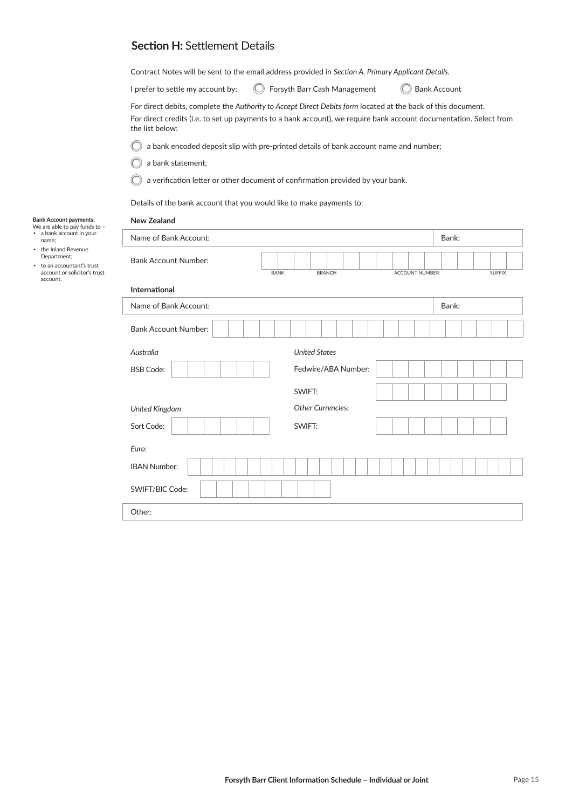## **Section H:** Settlement Details

Contract Notes will be sent to the email address provided in *Section A. Primary Applicant Details.* 

| I prefer to settle my account by: |  |
|-----------------------------------|--|
|-----------------------------------|--|

 $\bigcirc$  Forsyth Barr Cash Management

**Bank Account** 

For direct debits, complete the *Authority to Accept Direct Debits form* located at the back of this document. For direct credits (i.e. to set up payments to a bank account), we require bank account documentation. Select from the list below:

a bank encoded deposit slip with pre-printed details of bank account name and number;  $\bigcirc$ 

C a bank statement;

**New Zealand**

C a verification letter or other document of confirmation provided by your bank.

Details of the bank account that you would like to make payments to:

## **Bank Account payments:**  We are able to pay funds to –

| ٠ | a bank account in your |
|---|------------------------|
|   | name;                  |
| ٠ | the Inland Revenue     |

- the Inland Revenue Department;
- to an accountant's trust account or solicitor's trust account.

| Name of Bank Account:             |                     |                          |               |  |  |  |  |                       |  | Bank: |  |  |  |               |  |  |
|-----------------------------------|---------------------|--------------------------|---------------|--|--|--|--|-----------------------|--|-------|--|--|--|---------------|--|--|
| <b>Bank Account Number:</b>       |                     |                          |               |  |  |  |  |                       |  |       |  |  |  |               |  |  |
| <b>BANK</b>                       |                     |                          | <b>BRANCH</b> |  |  |  |  | <b>ACCOUNT NUMBER</b> |  |       |  |  |  | <b>SUFFIX</b> |  |  |
| <b>International</b>              |                     |                          |               |  |  |  |  |                       |  |       |  |  |  |               |  |  |
| Name of Bank Account:             |                     |                          |               |  |  |  |  |                       |  | Bank: |  |  |  |               |  |  |
| <b>Bank Account Number:</b>       |                     |                          |               |  |  |  |  |                       |  |       |  |  |  |               |  |  |
| <b>United States</b><br>Australia |                     |                          |               |  |  |  |  |                       |  |       |  |  |  |               |  |  |
| <b>BSB Code:</b>                  | Fedwire/ABA Number: |                          |               |  |  |  |  |                       |  |       |  |  |  |               |  |  |
|                                   |                     | SWIFT:                   |               |  |  |  |  |                       |  |       |  |  |  |               |  |  |
| United Kingdom                    |                     | <b>Other Currencies:</b> |               |  |  |  |  |                       |  |       |  |  |  |               |  |  |
| Sort Code:                        |                     | SWIFT:                   |               |  |  |  |  |                       |  |       |  |  |  |               |  |  |
| Euro:                             |                     |                          |               |  |  |  |  |                       |  |       |  |  |  |               |  |  |
| <b>IBAN Number:</b>               |                     |                          |               |  |  |  |  |                       |  |       |  |  |  |               |  |  |
| SWIFT/BIC Code:                   |                     |                          |               |  |  |  |  |                       |  |       |  |  |  |               |  |  |
| Other:                            |                     |                          |               |  |  |  |  |                       |  |       |  |  |  |               |  |  |
|                                   |                     |                          |               |  |  |  |  |                       |  |       |  |  |  |               |  |  |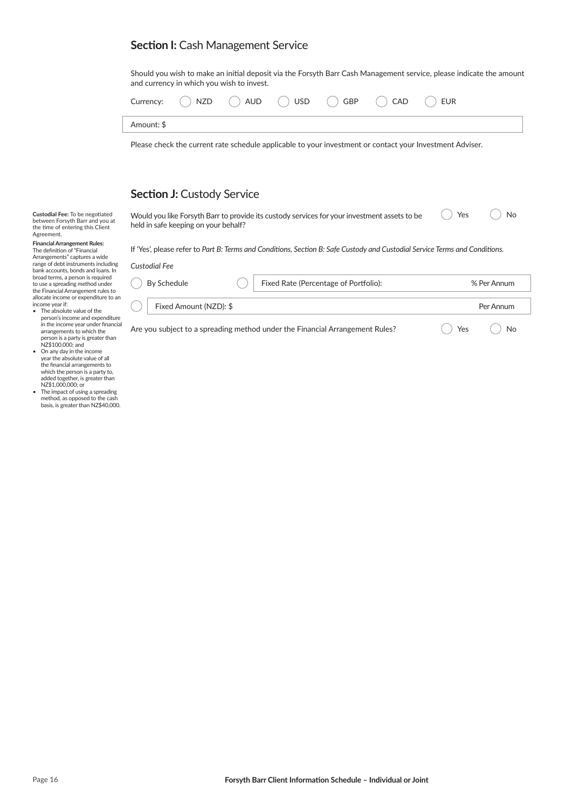## **Section I: Cash Management Service**

Should you wish to make an initial deposit via the Forsyth Barr Cash Management service, please indicate the amount and currency in which you wish to invest.

|            |  |  | Currency: $\bigcap$ NZD $\bigcap$ AUD $\bigcap$ USD $\bigcap$ GBP $\bigcap$ CAD $\bigcap$ EUR |  |
|------------|--|--|-----------------------------------------------------------------------------------------------|--|
| Amount: \$ |  |  |                                                                                               |  |

Please check the current rate schedule applicable to your investment or contact your Investment Adviser.

### **Section J: Custody Service**

Would you like Forsyth Barr to provide its custody services for your investment assets to be held in safe keeping on your behalf? ◯ Yes ◯ No

If 'Yes', please refer to Part B: Terms and Conditions, Section B: Safe Custody and Custodial Service Terms and Conditions.

| <b>Financial Arrangement Rules:</b>  |
|--------------------------------------|
|                                      |
| The definition of "Financial         |
| Arrangements" captures a wide        |
| range of debt instruments including  |
| bank accounts, bonds and loans. In   |
| broad terms, a person is required    |
| to use a spreading method under      |
| the Financial Arrangement rules to   |
| allocate income or expenditure to an |
| income year if:                      |
| The absolute value of the            |

**Custodial Fee:** To be negotiated between Forsyth Barr and you at the time of entering this Client

Agreement.

- person's income and expenditure<br>in the income year under financial arrangements to which the person is a party is greater than NZ\$100,000; and
- On any day in the income year the absolute value of all<br>the financial arrangements to which the person is a party to, added together, is greater than NZ\$1,000,000; or
- The impact of using a spreading method, as opposed to the cash basis, is greater than NZ\$40,000.

|                                                                              | IT YES, please refer to Part B: Terms and Conditions, Section B: Safe Custody and Custodial Service Terms and Conditions. |             |
|------------------------------------------------------------------------------|---------------------------------------------------------------------------------------------------------------------------|-------------|
| Custodial Fee                                                                |                                                                                                                           |             |
| By Schedule                                                                  | Fixed Rate (Percentage of Portfolio):                                                                                     | % Per Annum |
| Fixed Amount (NZD): \$                                                       |                                                                                                                           | Per Annum   |
| Are you subject to a spreading method under the Financial Arrangement Rules? | Yes<br>No                                                                                                                 |             |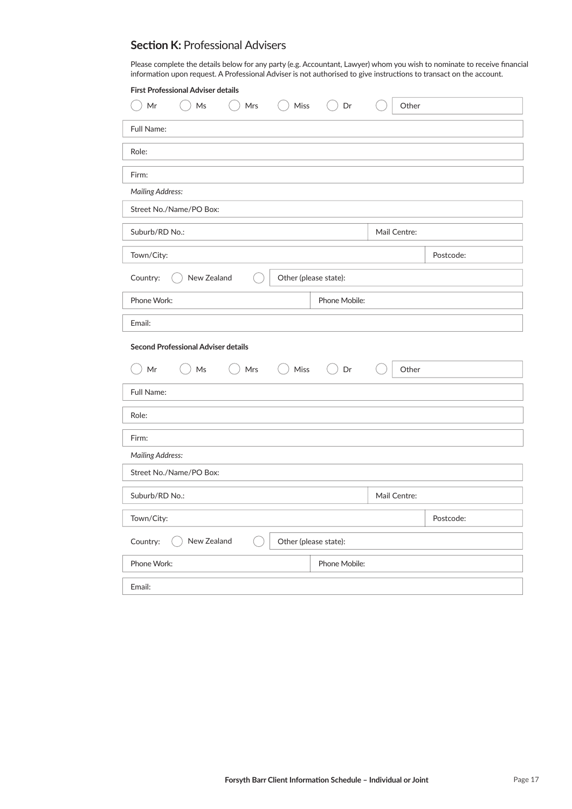### **Section K: Professional Advisers**

Please complete the details below for any party (e.g. Accountant, Lawyer) whom you wish to nominate to receive financial information upon request. A Professional Adviser is not authorised to give instructions to transact on the account.

| <b>First Professional Adviser details</b>                                          |              |           |  |  |  |  |
|------------------------------------------------------------------------------------|--------------|-----------|--|--|--|--|
| Mr<br>Mrs<br>Miss<br>Dr<br>Ms<br>$($ )                                             | Other        |           |  |  |  |  |
| Full Name:                                                                         |              |           |  |  |  |  |
| Role:                                                                              |              |           |  |  |  |  |
| Firm:                                                                              |              |           |  |  |  |  |
| <b>Mailing Address:</b>                                                            |              |           |  |  |  |  |
| Street No./Name/PO Box:                                                            |              |           |  |  |  |  |
| Suburb/RD No.:                                                                     | Mail Centre: |           |  |  |  |  |
| Town/City:                                                                         |              | Postcode: |  |  |  |  |
| New Zealand<br>Other (please state):<br>Country:                                   |              |           |  |  |  |  |
| Phone Work:<br>Phone Mobile:                                                       |              |           |  |  |  |  |
| Email:                                                                             |              |           |  |  |  |  |
| <b>Second Professional Adviser details</b>                                         |              |           |  |  |  |  |
| $()$ Mrs<br>Miss<br>Dr<br>$\mathsf{Mr}$<br>$\mathsf{Ms}$<br>(<br>$($ )<br>$\left($ | Other        |           |  |  |  |  |
| Full Name:                                                                         |              |           |  |  |  |  |
| Role:                                                                              |              |           |  |  |  |  |
| Firm:                                                                              |              |           |  |  |  |  |
| <b>Mailing Address:</b>                                                            |              |           |  |  |  |  |
| Street No./Name/PO Box:                                                            |              |           |  |  |  |  |
| Suburb/RD No.:                                                                     | Mail Centre: |           |  |  |  |  |
| Town/City:                                                                         |              | Postcode: |  |  |  |  |
| New Zealand<br>Country:<br>Other (please state):                                   |              |           |  |  |  |  |
| Phone Mobile:<br>Phone Work:                                                       |              |           |  |  |  |  |
| Email:                                                                             |              |           |  |  |  |  |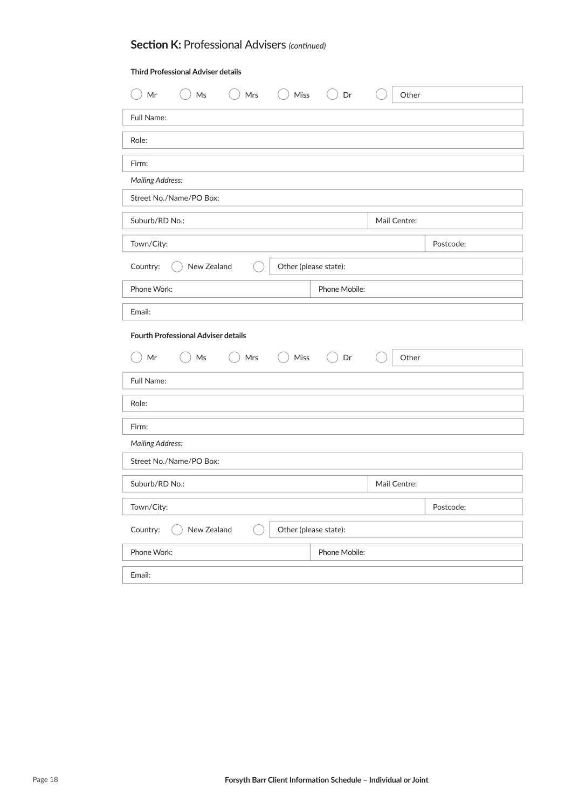# **Section K:** Professional Advisers *(continued)*

### **Third Professional Adviser details**

| Ms<br>Mrs<br>Miss<br>Mr                          | Dr<br>Other            |  |  |  |  |  |  |  |  |
|--------------------------------------------------|------------------------|--|--|--|--|--|--|--|--|
| Full Name:                                       |                        |  |  |  |  |  |  |  |  |
| Role:                                            |                        |  |  |  |  |  |  |  |  |
| Firm:                                            |                        |  |  |  |  |  |  |  |  |
| <b>Mailing Address:</b>                          |                        |  |  |  |  |  |  |  |  |
| Street No./Name/PO Box:                          |                        |  |  |  |  |  |  |  |  |
| Suburb/RD No.:                                   | Mail Centre:           |  |  |  |  |  |  |  |  |
| Town/City:                                       | Postcode:              |  |  |  |  |  |  |  |  |
| New Zealand<br>Country:<br>Other (please state): |                        |  |  |  |  |  |  |  |  |
| Phone Work:                                      | Phone Mobile:          |  |  |  |  |  |  |  |  |
| Email:                                           |                        |  |  |  |  |  |  |  |  |
| <b>Fourth Professional Adviser details</b>       |                        |  |  |  |  |  |  |  |  |
| Mr<br>Mrs<br>Miss<br>Ms<br>$\left($              | Dr<br>$($ $)$<br>Other |  |  |  |  |  |  |  |  |
| Full Name:                                       |                        |  |  |  |  |  |  |  |  |
| Role:                                            |                        |  |  |  |  |  |  |  |  |
| Firm:                                            |                        |  |  |  |  |  |  |  |  |
| <b>Mailing Address:</b>                          |                        |  |  |  |  |  |  |  |  |
| Street No./Name/PO Box:                          |                        |  |  |  |  |  |  |  |  |
| Suburb/RD No.:                                   | Mail Centre:           |  |  |  |  |  |  |  |  |
| Town/City:                                       | Postcode:              |  |  |  |  |  |  |  |  |
| New Zealand<br>Country:<br>Other (please state): |                        |  |  |  |  |  |  |  |  |
| Phone Work:                                      | Phone Mobile:          |  |  |  |  |  |  |  |  |
| Email:                                           |                        |  |  |  |  |  |  |  |  |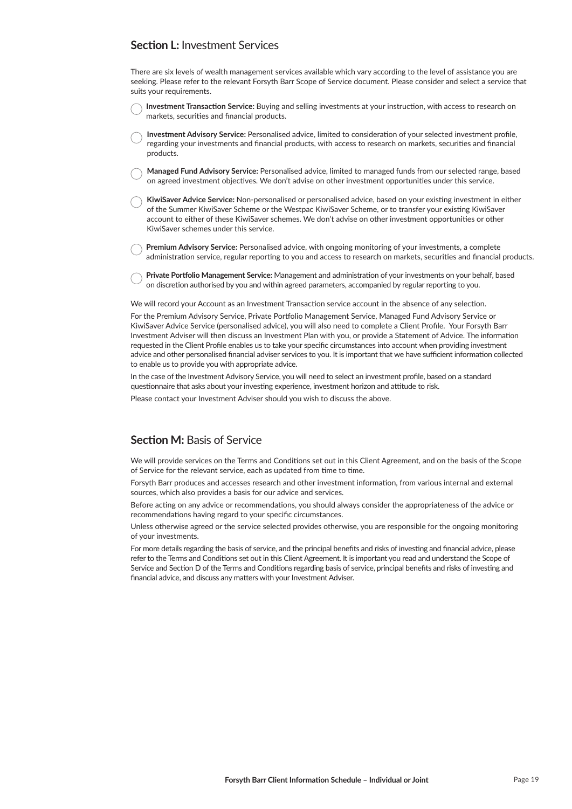## **Section L:** Investment Services

There are six levels of wealth management services available which vary according to the level of assistance you are seeking. Please refer to the relevant Forsyth Barr Scope of Service document. Please consider and select a service that suits your requirements.

- **Investment Transaction Service:** Buying and selling investments at your instruction, with access to research on markets, securities and financial products.
- **Investment Advisory Service:** Personalised advice, limited to consideration of your selected investment profile, regarding your investments and financial products, with access to research on markets, securities and financial products.
- **Managed Fund Advisory Service:** Personalised advice, limited to managed funds from our selected range, based on agreed investment objectives. We don't advise on other investment opportunities under this service.
- **KiwiSaver Advice Service:** Non-personalised or personalised advice, based on your existing investment in either of the Summer KiwiSaver Scheme or the Westpac KiwiSaver Scheme, or to transfer your existing KiwiSaver account to either of these KiwiSaver schemes. We don't advise on other investment opportunities or other KiwiSaver schemes under this service.
- **Premium Advisory Service:** Personalised advice, with ongoing monitoring of your investments, a complete administration service, regular reporting to you and access to research on markets, securities and financial products.
- Private Portfolio Management Service: Management and administration of your investments on your behalf, based on discretion authorised by you and within agreed parameters, accompanied by regular reporting to you.

We will record your Account as an Investment Transaction service account in the absence of any selection.

For the Premium Advisory Service, Private Portfolio Management Service, Managed Fund Advisory Service or KiwiSaver Advice Service (personalised advice), you will also need to complete a Client Profile. Your Forsyth Barr Investment Adviser will then discuss an Investment Plan with you, or provide a Statement of Advice. The information requested in the Client Profile enables us to take your specific circumstances into account when providing investment advice and other personalised financial adviser services to you. It is important that we have sufficient information collected to enable us to provide you with appropriate advice.

In the case of the Investment Advisory Service, you will need to select an investment profile, based on a standard questionnaire that asks about your investing experience, investment horizon and attitude to risk.

Please contact your Investment Adviser should you wish to discuss the above.

## **Section M: Basis of Service**

We will provide services on the Terms and Conditions set out in this Client Agreement, and on the basis of the Scope of Service for the relevant service, each as updated from time to time.

Forsyth Barr produces and accesses research and other investment information, from various internal and external sources, which also provides a basis for our advice and services.

Before acting on any advice or recommendations, you should always consider the appropriateness of the advice or recommendations having regard to your specific circumstances.

Unless otherwise agreed or the service selected provides otherwise, you are responsible for the ongoing monitoring of your investments.

For more details regarding the basis of service, and the principal benefits and risks of investing and financial advice, please refer to the Terms and Conditions set out in this Client Agreement. It is important you read and understand the Scope of Service and Section D of the Terms and Conditions regarding basis of service, principal benefits and risks of investing and financial advice, and discuss any matters with your Investment Adviser.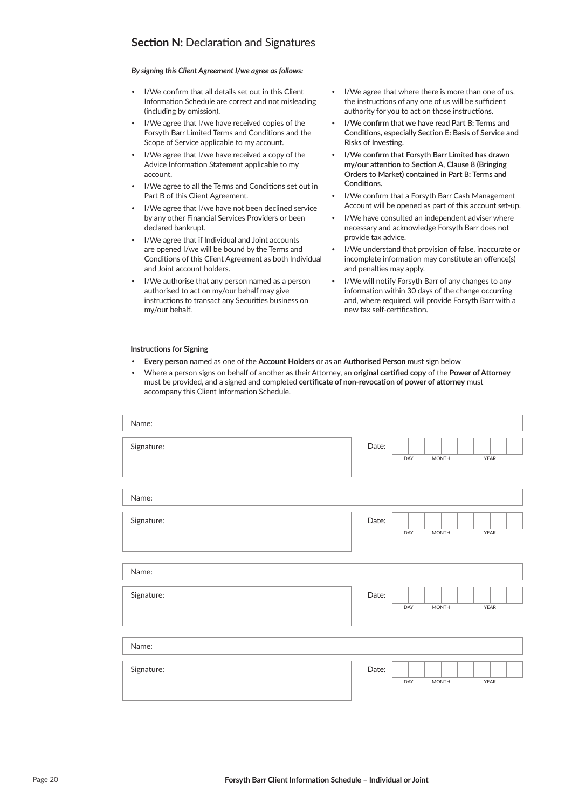## **Section N: Declaration and Signatures**

### *By signing this Client Agreement I/we agree as follows:*

- I/We confirm that all details set out in this Client Information Schedule are correct and not misleading (including by omission).
- I/We agree that I/we have received copies of the Forsyth Barr Limited Terms and Conditions and the Scope of Service applicable to my account.
- I/We agree that I/we have received a copy of the Advice Information Statement applicable to my account.
- I/We agree to all the Terms and Conditions set out in Part B of this Client Agreement.
- I/We agree that I/we have not been declined service by any other Financial Services Providers or been declared bankrupt.
- I/We agree that if Individual and Joint accounts are opened I/we will be bound by the Terms and Conditions of this Client Agreement as both Individual and Joint account holders.
- I/We authorise that any person named as a person authorised to act on my/our behalf may give instructions to transact any Securities business on my/our behalf.
- I/We agree that where there is more than one of us, the instructions of any one of us will be sufficient authority for you to act on those instructions.
- **I/We confirm that we have read Part B: Terms and Conditions, especially Section E: Basis of Service and Risks of Investing.**
- **I/We confirm that Forsyth Barr Limited has drawn my/our attention to Section A, Clause 8 (Bringing Orders to Market) contained in Part B: Terms and Conditions.**
- I/We confirm that a Forsyth Barr Cash Management Account will be opened as part of this account set-up.
- I/We have consulted an independent adviser where necessary and acknowledge Forsyth Barr does not provide tax advice.
- I/We understand that provision of false, inaccurate or incomplete information may constitute an offence(s) and penalties may apply.
- I/We will notify Forsyth Barr of any changes to any information within 30 days of the change occurring and, where required, will provide Forsyth Barr with a new tax self-certification.

#### **Instructions for Signing**

- **Every person** named as one of the **Account Holders** or as an **Authorised Person** must sign below
- Where a person signs on behalf of another as their Attorney, an **original certified copy** of the **Power of Attorney** must be provided, and a signed and completed **certificate of non-revocation of power of attorney** must accompany this Client Information Schedule.

| Name:      |       |                     |      |
|------------|-------|---------------------|------|
| Signature: | Date: | DAY<br><b>MONTH</b> | YEAR |
| Name:      |       |                     |      |
| Signature: | Date: | DAY<br><b>MONTH</b> | YEAR |
| Name:      |       |                     |      |
| Signature: | Date: | DAY<br><b>MONTH</b> | YEAR |
| Name:      |       |                     |      |
| Signature: | Date: | DAY<br><b>MONTH</b> | YEAR |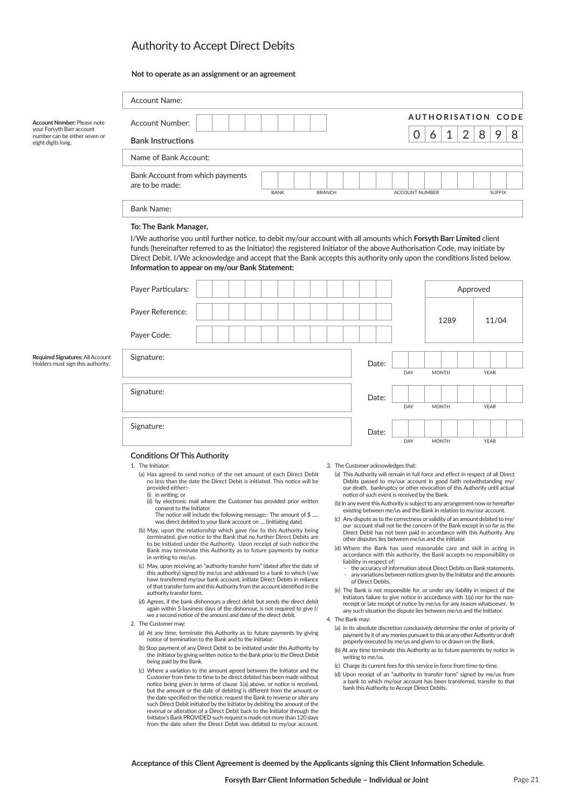# Authority to Accept Direct Debits

#### **Not to operate as an assignment or an agreement**

authority transfer form.

being paid by the Bank.

2. The Customer may:

(d) Agrees, if the bank dishonours a direct debit but sends the direct debit again within 5 business days of the dishonour, is not required to give I/<br>we a second notice of the amount and date of the direct debit.

(a) At any time, terminate this Authority as to future payments by giving notice of termination to the Bank and to the Initiator. (b) Stop payment of any Direct Debit to be initiated under this Authority by the Initiator by giving written notice to the Bank prior to the Direct Debit

(c) Where a variation to the amount agreed between the Initiator and the Customer from time to time to be direct debited has been made without notice being given in terms of clause 1(a) above, or notice is received, but the amount or the date of debiting is different from the amount or the date specified on the notice, request the Bank to reverse or alter any<br>such Direct Debit initiated by the Initiator by debiting the amount of the reversal or alteration of a Direct Debit back to the Initiator through the<br>Initiator's Bank PROVIDED such request is made not more than 120 days<br>from the date when the Direct Debit was debited to my/our account.

|                                                                                  | <b>Account Name:</b>                                                                                                                                                                                                                                                                                                                                                                                                                                                                                                                                                                                                                                                                                                                                                                                                                                                                                                                                                                  |             |               |                                                                                                                                                                                                                                                                                                                                                                                                                                                                                                                                                                                                                                                                                                                                                                                                                                                                                                                                                                                                                                    |                       |                           |                |          |               |   |  |  |  |
|----------------------------------------------------------------------------------|---------------------------------------------------------------------------------------------------------------------------------------------------------------------------------------------------------------------------------------------------------------------------------------------------------------------------------------------------------------------------------------------------------------------------------------------------------------------------------------------------------------------------------------------------------------------------------------------------------------------------------------------------------------------------------------------------------------------------------------------------------------------------------------------------------------------------------------------------------------------------------------------------------------------------------------------------------------------------------------|-------------|---------------|------------------------------------------------------------------------------------------------------------------------------------------------------------------------------------------------------------------------------------------------------------------------------------------------------------------------------------------------------------------------------------------------------------------------------------------------------------------------------------------------------------------------------------------------------------------------------------------------------------------------------------------------------------------------------------------------------------------------------------------------------------------------------------------------------------------------------------------------------------------------------------------------------------------------------------------------------------------------------------------------------------------------------------|-----------------------|---------------------------|----------------|----------|---------------|---|--|--|--|
| Account Nnmber: Please note                                                      | <b>Account Number:</b>                                                                                                                                                                                                                                                                                                                                                                                                                                                                                                                                                                                                                                                                                                                                                                                                                                                                                                                                                                |             |               |                                                                                                                                                                                                                                                                                                                                                                                                                                                                                                                                                                                                                                                                                                                                                                                                                                                                                                                                                                                                                                    |                       | <b>AUTHORISATION CODE</b> |                |          |               |   |  |  |  |
| your Forsyth Barr account<br>number can be either seven or<br>eight digits long. | <b>Bank Instructions</b>                                                                                                                                                                                                                                                                                                                                                                                                                                                                                                                                                                                                                                                                                                                                                                                                                                                                                                                                                              |             |               |                                                                                                                                                                                                                                                                                                                                                                                                                                                                                                                                                                                                                                                                                                                                                                                                                                                                                                                                                                                                                                    | 0                     | 1<br>6                    | $\overline{2}$ | 8        | 9             | 8 |  |  |  |
|                                                                                  | Name of Bank Account:                                                                                                                                                                                                                                                                                                                                                                                                                                                                                                                                                                                                                                                                                                                                                                                                                                                                                                                                                                 |             |               |                                                                                                                                                                                                                                                                                                                                                                                                                                                                                                                                                                                                                                                                                                                                                                                                                                                                                                                                                                                                                                    |                       |                           |                |          |               |   |  |  |  |
|                                                                                  | Bank Account from which payments<br>are to be made:                                                                                                                                                                                                                                                                                                                                                                                                                                                                                                                                                                                                                                                                                                                                                                                                                                                                                                                                   | <b>BANK</b> | <b>BRANCH</b> |                                                                                                                                                                                                                                                                                                                                                                                                                                                                                                                                                                                                                                                                                                                                                                                                                                                                                                                                                                                                                                    | <b>ACCOUNT NUMBER</b> |                           |                |          | <b>SUFFIX</b> |   |  |  |  |
|                                                                                  | <b>Bank Name:</b>                                                                                                                                                                                                                                                                                                                                                                                                                                                                                                                                                                                                                                                                                                                                                                                                                                                                                                                                                                     |             |               |                                                                                                                                                                                                                                                                                                                                                                                                                                                                                                                                                                                                                                                                                                                                                                                                                                                                                                                                                                                                                                    |                       |                           |                |          |               |   |  |  |  |
|                                                                                  | To: The Bank Manager,<br>I/We authorise you until further notice, to debit my/our account with all amounts which <b>Forsyth Barr Limited</b> client<br>funds (hereinafter referred to as the Initiator) the registered Initiator of the above Authorisation Code, may initiate by<br>Direct Debit. I/We acknowledge and accept that the Bank accepts this authority only upon the conditions listed below.<br>Information to appear on my/our Bank Statement:                                                                                                                                                                                                                                                                                                                                                                                                                                                                                                                         |             |               |                                                                                                                                                                                                                                                                                                                                                                                                                                                                                                                                                                                                                                                                                                                                                                                                                                                                                                                                                                                                                                    |                       |                           |                |          |               |   |  |  |  |
|                                                                                  | Payer Particulars:                                                                                                                                                                                                                                                                                                                                                                                                                                                                                                                                                                                                                                                                                                                                                                                                                                                                                                                                                                    |             |               |                                                                                                                                                                                                                                                                                                                                                                                                                                                                                                                                                                                                                                                                                                                                                                                                                                                                                                                                                                                                                                    |                       |                           |                | Approved |               |   |  |  |  |
|                                                                                  | Payer Reference:                                                                                                                                                                                                                                                                                                                                                                                                                                                                                                                                                                                                                                                                                                                                                                                                                                                                                                                                                                      |             |               |                                                                                                                                                                                                                                                                                                                                                                                                                                                                                                                                                                                                                                                                                                                                                                                                                                                                                                                                                                                                                                    |                       | 1289                      | 11/04          |          |               |   |  |  |  |
|                                                                                  | Payer Code:                                                                                                                                                                                                                                                                                                                                                                                                                                                                                                                                                                                                                                                                                                                                                                                                                                                                                                                                                                           |             |               |                                                                                                                                                                                                                                                                                                                                                                                                                                                                                                                                                                                                                                                                                                                                                                                                                                                                                                                                                                                                                                    |                       |                           |                |          |               |   |  |  |  |
| Required Signatures: All Account<br>Holders must sign this authority.            | Signature:                                                                                                                                                                                                                                                                                                                                                                                                                                                                                                                                                                                                                                                                                                                                                                                                                                                                                                                                                                            |             |               | Date:                                                                                                                                                                                                                                                                                                                                                                                                                                                                                                                                                                                                                                                                                                                                                                                                                                                                                                                                                                                                                              | DAY                   | <b>MONTH</b>              |                | YEAR     |               |   |  |  |  |
|                                                                                  | Signature:                                                                                                                                                                                                                                                                                                                                                                                                                                                                                                                                                                                                                                                                                                                                                                                                                                                                                                                                                                            | Date:       | DAY           | <b>MONTH</b>                                                                                                                                                                                                                                                                                                                                                                                                                                                                                                                                                                                                                                                                                                                                                                                                                                                                                                                                                                                                                       |                       | YEAR                      |                |          |               |   |  |  |  |
|                                                                                  | Signature:                                                                                                                                                                                                                                                                                                                                                                                                                                                                                                                                                                                                                                                                                                                                                                                                                                                                                                                                                                            |             |               | Date:                                                                                                                                                                                                                                                                                                                                                                                                                                                                                                                                                                                                                                                                                                                                                                                                                                                                                                                                                                                                                              | DAY                   | <b>MONTH</b>              |                | YEAR     |               |   |  |  |  |
|                                                                                  | <b>Conditions Of This Authority</b><br>1. The Initiator:<br>(a) Has agreed to send notice of the net amount of each Direct Debit<br>no less than the date the Direct Debit is initiated. This notice will be<br>provided either:-<br>(i) in writing; or<br>(ii) by electronic mail where the Customer has provided prior written<br>consent to the Initiator.<br>The notice will include the following message:- The amount of \$<br>was direct debited to your Bank account on  (initiating date).<br>(b) May, upon the relationship which gave rise to this Authority being<br>terminated, give notice to the Bank that no further Direct Debits are<br>to be initiated under the Authority. Upon receipt of such notice the<br>Bank may terminate this Authority as to future payments by notice<br>in writing to me/us.<br>(c) May, upon receiving an "authority transfer form" (dated after the date of<br>this authority) signed by me/us and addressed to a bank to which I/we |             |               | 3. The Customer acknowledges that:<br>(a) This Authority will remain in full force and effect in respect of all Direct<br>Debits passed to my/our account in good faith notwithstanding my/<br>our death, bankruptcy or other revocation of this Authority until actual<br>notice of such event is received by the Bank.<br>(b) In any event this Authority is subject to any arrangement now or hereafter<br>existing between me/us and the Bank in relation to my/our account.<br>(c) Any dispute as to the correctness or validity of an amount debited to my/<br>our account shall not be the concern of the Bank except in so far as the<br>Direct Debit has not been paid in accordance with this Authority. Any<br>other disputes lies between me/us and the initiator.<br>(d) Where the Bank has used reasonable care and skill in acting in<br>accordance with this authority, the Bank accepts no responsibility or<br>liability in respect of:<br>- the accuracy of information about Direct Debits on Bank statements. |                       |                           |                |          |               |   |  |  |  |

- have transferred my/our bank account, initiate Direct Debits in reliance of that transfer form and this Authority from the account identified in the - the accuracy of information about Direct Debits on Bank statements.<br>- any variations between notices given by the Initiator and the amounts of Direct Debits.
	- (e) The Bank is not responsible for, or under any liability in respect of the Initiators failure to give notice in accordance with 1(a) nor for the non-<br>receipt or late receipt of notice by me/us for any reason whatsoever. In any such situation the dispute lies between me/us and the Initiator.

#### 4. The Bank may:

- (a) In its absolute discretion conclusively determine the order of priority of payment by it of any monies pursuant to this or any other Authority or draft properly executed by me/us and given to or drawn on the Bank.
- (b) At any time terminate this Authority as to future payments by notice in writing to me/us.
- (c) Charge its current fees for this service in force from time-to-time.
- (d) Upon receipt of an "authority to transfer form" signed by me/us from a bank to which my/our account has been transferred, transfer to that bank this Authority to Accept Direct Debits.

**Acceptance of this Client Agreement is deemed by the Applicants signing this Client Information Schedule.**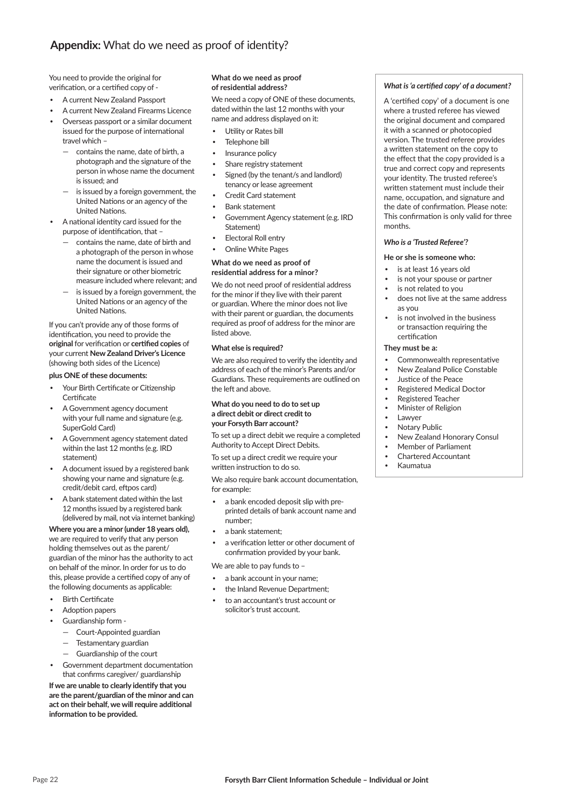You need to provide the original for verification, or a certified copy of -

- A current New Zealand Passport
- A current New Zealand Firearms Licence
- Overseas passport or a similar document issued for the purpose of international travel which –
	- contains the name, date of birth, a photograph and the signature of the person in whose name the document is issued; and
	- is issued by a foreign government, the United Nations or an agency of the **United Nations**
- A national identity card issued for the purpose of identification, that -
	- contains the name, date of birth and a photograph of the person in whose name the document is issued and their signature or other biometric measure included where relevant; and
	- is issued by a foreign government, the United Nations or an agency of the **United Nations.**

If you can't provide any of those forms of identification, you need to provide the **original** for verification or **certified copies** of your current **New Zealand Driver's Licence** (showing both sides of the Licence)

### **plus ONE of these documents:**

- Your Birth Certificate or Citizenship Certificate
- A Government agency document with your full name and signature (e.g. SuperGold Card)
- A Government agency statement dated within the last 12 months (e.g. IRD statement)
- A document issued by a registered bank showing your name and signature (e.g. credit/debit card, eftpos card)
- A bank statement dated within the last 12 months issued by a registered bank (delivered by mail, not via internet banking)

### **Where you are a minor (under 18 years old),**

we are required to verify that any person holding themselves out as the parent/ guardian of the minor has the authority to act on behalf of the minor. In order for us to do this, please provide a certified copy of any of the following documents as applicable:

- **Birth Certificate**
- Adoption papers
- Guardianship form
	- Court-Appointed guardian
	- Testamentary guardian
	- Guardianship of the court
- Government department documentation that confirms caregiver/ guardianship

**If we are unable to clearly identify that you are the parent/guardian of the minor and can**  act on their behalf, we will require additional information to be provided.

#### **What do we need as proof**  of residential address?

We need a copy of ONE of these documents, dated within the last 12 months with your name and address displayed on it:

- Utility or Rates bill
- Telephone bill
- Insurance policy
- Share registry statement
- Signed (by the tenant/s and landlord) tenancy or lease agreement
- Credit Card statement
- Bank statement
- Government Agency statement (e.g. IRD Statement)
- Electoral Roll entry
- Online White Pages

#### **What do we need as proof of residential address for a minor?**

We do not need proof of residential address for the minor if they live with their parent or guardian. Where the minor does not live with their parent or guardian, the documents required as proof of address for the minor are listed above.

#### **What else is required?**

We are also required to verify the identity and address of each of the minor's Parents and/or Guardians. These requirements are outlined on the left and above.

#### **What do you need to do to set up a direct debit or direct credit to your Forsyth Barr account?**

To set up a direct debit we require a completed Authority to Accept Direct Debits.

To set up a direct credit we require your written instruction to do so.

We also require bank account documentation, for example:

- a bank encoded deposit slip with preprinted details of bank account name and number;
- a bank statement;
- a verification letter or other document of confirmation provided by your bank.

We are able to pay funds to –

- a bank account in your name;
- the Inland Revenue Department;
- to an accountant's trust account or solicitor's trust account.

#### *What is 'a certified copy' of a document?*

A 'certified copy' of a document is one where a trusted referee has viewed the original document and compared it with a scanned or photocopied version. The trusted referee provides a written statement on the copy to the effect that the copy provided is a true and correct copy and represents your identity. The trusted referee's written statement must include their name, occupation, and signature and the date of confirmation. Please note: This confirmation is only valid for three months.

#### *Who is a 'Trusted Referee'?*

#### **He or she is someone who:**

- is at least 16 years old
- is not your spouse or partner
- is not related to you
- does not live at the same address as you
- is not involved in the business or transaction requiring the certification

#### **They must be a:**

- Commonwealth representative
- New Zealand Police Constable
- Justice of the Peace
- Registered Medical Doctor
- Registered Teacher
- Minister of Religion
- Lawyer
- Notary Public
- New Zealand Honorary Consul
- Member of Parliament
- Chartered Accountant
- Kaumatua